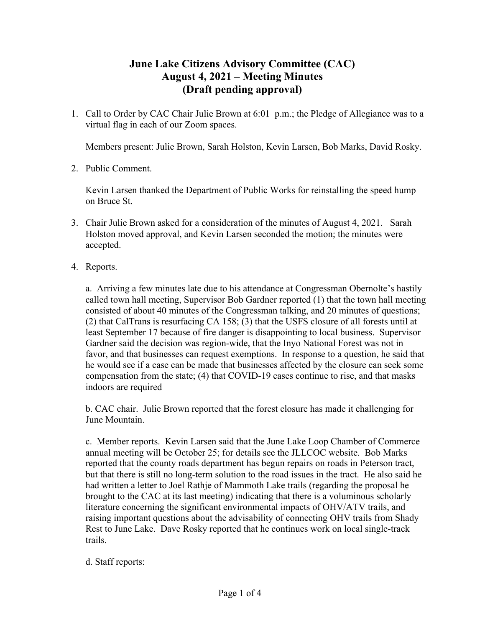## **June Lake Citizens Advisory Committee (CAC) August 4, 2021 – Meeting Minutes (Draft pending approval)**

1. Call to Order by CAC Chair Julie Brown at 6:01 p.m.; the Pledge of Allegiance was to a virtual flag in each of our Zoom spaces.

Members present: Julie Brown, Sarah Holston, Kevin Larsen, Bob Marks, David Rosky.

2. Public Comment.

Kevin Larsen thanked the Department of Public Works for reinstalling the speed hump on Bruce St.

- 3. Chair Julie Brown asked for a consideration of the minutes of August 4, 2021. Sarah Holston moved approval, and Kevin Larsen seconded the motion; the minutes were accepted.
- 4. Reports.

a. Arriving a few minutes late due to his attendance at Congressman Obernolte's hastily called town hall meeting, Supervisor Bob Gardner reported (1) that the town hall meeting consisted of about 40 minutes of the Congressman talking, and 20 minutes of questions; (2) that CalTrans is resurfacing CA 158; (3) that the USFS closure of all forests until at least September 17 because of fire danger is disappointing to local business. Supervisor Gardner said the decision was region-wide, that the Inyo National Forest was not in favor, and that businesses can request exemptions. In response to a question, he said that he would see if a case can be made that businesses affected by the closure can seek some compensation from the state; (4) that COVID-19 cases continue to rise, and that masks indoors are required

b. CAC chair. Julie Brown reported that the forest closure has made it challenging for June Mountain.

c. Member reports. Kevin Larsen said that the June Lake Loop Chamber of Commerce annual meeting will be October 25; for details see the JLLCOC website. Bob Marks reported that the county roads department has begun repairs on roads in Peterson tract, but that there is still no long-term solution to the road issues in the tract. He also said he had written a letter to Joel Rathje of Mammoth Lake trails (regarding the proposal he brought to the CAC at its last meeting) indicating that there is a voluminous scholarly literature concerning the significant environmental impacts of OHV/ATV trails, and raising important questions about the advisability of connecting OHV trails from Shady Rest to June Lake. Dave Rosky reported that he continues work on local single-track trails.

## d. Staff reports: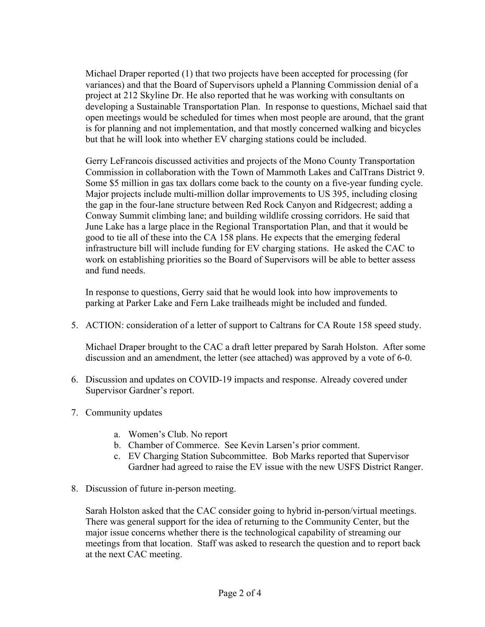Michael Draper reported (1) that two projects have been accepted for processing (for variances) and that the Board of Supervisors upheld a Planning Commission denial of a project at 212 Skyline Dr. He also reported that he was working with consultants on developing a Sustainable Transportation Plan. In response to questions, Michael said that open meetings would be scheduled for times when most people are around, that the grant is for planning and not implementation, and that mostly concerned walking and bicycles but that he will look into whether EV charging stations could be included.

Gerry LeFrancois discussed activities and projects of the Mono County Transportation Commission in collaboration with the Town of Mammoth Lakes and CalTrans District 9. Some \$5 million in gas tax dollars come back to the county on a five-year funding cycle. Major projects include multi-million dollar improvements to US 395, including closing the gap in the four-lane structure between Red Rock Canyon and Ridgecrest; adding a Conway Summit climbing lane; and building wildlife crossing corridors. He said that June Lake has a large place in the Regional Transportation Plan, and that it would be good to tie all of these into the CA 158 plans. He expects that the emerging federal infrastructure bill will include funding for EV charging stations. He asked the CAC to work on establishing priorities so the Board of Supervisors will be able to better assess and fund needs.

In response to questions, Gerry said that he would look into how improvements to parking at Parker Lake and Fern Lake trailheads might be included and funded.

5. ACTION: consideration of a letter of support to Caltrans for CA Route 158 speed study.

Michael Draper brought to the CAC a draft letter prepared by Sarah Holston. After some discussion and an amendment, the letter (see attached) was approved by a vote of 6-0.

- 6. Discussion and updates on COVID-19 impacts and response. Already covered under Supervisor Gardner's report.
- 7. Community updates
	- a. Women's Club. No report
	- b. Chamber of Commerce. See Kevin Larsen's prior comment.
	- c. EV Charging Station Subcommittee. Bob Marks reported that Supervisor Gardner had agreed to raise the EV issue with the new USFS District Ranger.
- 8. Discussion of future in-person meeting.

Sarah Holston asked that the CAC consider going to hybrid in-person/virtual meetings. There was general support for the idea of returning to the Community Center, but the major issue concerns whether there is the technological capability of streaming our meetings from that location. Staff was asked to research the question and to report back at the next CAC meeting.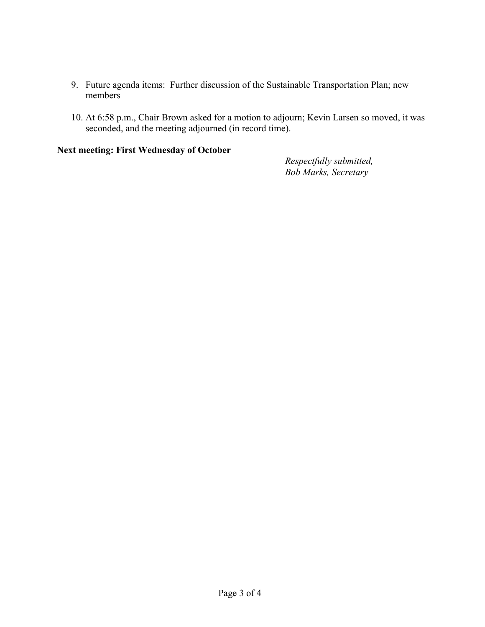- 9. Future agenda items: Further discussion of the Sustainable Transportation Plan; new members
- 10. At 6:58 p.m., Chair Brown asked for a motion to adjourn; Kevin Larsen so moved, it was seconded, and the meeting adjourned (in record time).

## **Next meeting: First Wednesday of October**

*Respectfully submitted, Bob Marks, Secretary*